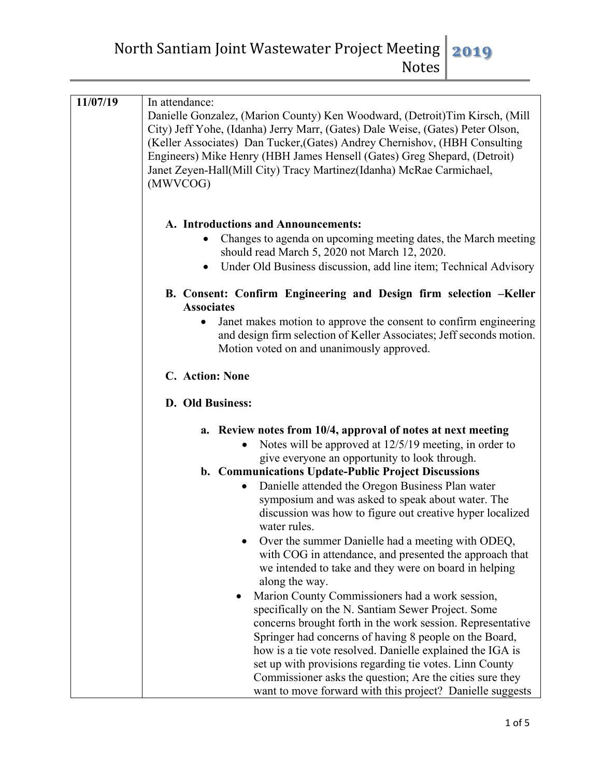North Santiam Joint Wastewater Project Meeting **2019** Notes

| 11/07/19 | In attendance:<br>Danielle Gonzalez, (Marion County) Ken Woodward, (Detroit) Tim Kirsch, (Mill<br>City) Jeff Yohe, (Idanha) Jerry Marr, (Gates) Dale Weise, (Gates) Peter Olson,<br>(Keller Associates) Dan Tucker, (Gates) Andrey Chernishov, (HBH Consulting<br>Engineers) Mike Henry (HBH James Hensell (Gates) Greg Shepard, (Detroit)<br>Janet Zeyen-Hall(Mill City) Tracy Martinez(Idanha) McRae Carmichael,<br>(MWVCOG)                                                                                                       |
|----------|--------------------------------------------------------------------------------------------------------------------------------------------------------------------------------------------------------------------------------------------------------------------------------------------------------------------------------------------------------------------------------------------------------------------------------------------------------------------------------------------------------------------------------------|
|          | A. Introductions and Announcements:<br>Changes to agenda on upcoming meeting dates, the March meeting<br>should read March 5, 2020 not March 12, 2020.<br>Under Old Business discussion, add line item; Technical Advisory                                                                                                                                                                                                                                                                                                           |
|          | B. Consent: Confirm Engineering and Design firm selection -Keller                                                                                                                                                                                                                                                                                                                                                                                                                                                                    |
|          | <b>Associates</b><br>Janet makes motion to approve the consent to confirm engineering<br>$\bullet$<br>and design firm selection of Keller Associates; Jeff seconds motion.<br>Motion voted on and unanimously approved.                                                                                                                                                                                                                                                                                                              |
|          | C. Action: None                                                                                                                                                                                                                                                                                                                                                                                                                                                                                                                      |
|          |                                                                                                                                                                                                                                                                                                                                                                                                                                                                                                                                      |
|          | D. Old Business:                                                                                                                                                                                                                                                                                                                                                                                                                                                                                                                     |
|          | a. Review notes from 10/4, approval of notes at next meeting<br>Notes will be approved at 12/5/19 meeting, in order to<br>give everyone an opportunity to look through.<br>b. Communications Update-Public Project Discussions<br>Danielle attended the Oregon Business Plan water<br>symposium and was asked to speak about water. The<br>discussion was how to figure out creative hyper localized<br>water rules.<br>Over the summer Danielle had a meeting with ODEQ,<br>with COG in attendance, and presented the approach that |
|          | we intended to take and they were on board in helping<br>along the way.                                                                                                                                                                                                                                                                                                                                                                                                                                                              |
|          | Marion County Commissioners had a work session,<br>specifically on the N. Santiam Sewer Project. Some<br>concerns brought forth in the work session. Representative<br>Springer had concerns of having 8 people on the Board,<br>how is a tie vote resolved. Danielle explained the IGA is<br>set up with provisions regarding tie votes. Linn County<br>Commissioner asks the question; Are the cities sure they<br>want to move forward with this project? Danielle suggests                                                       |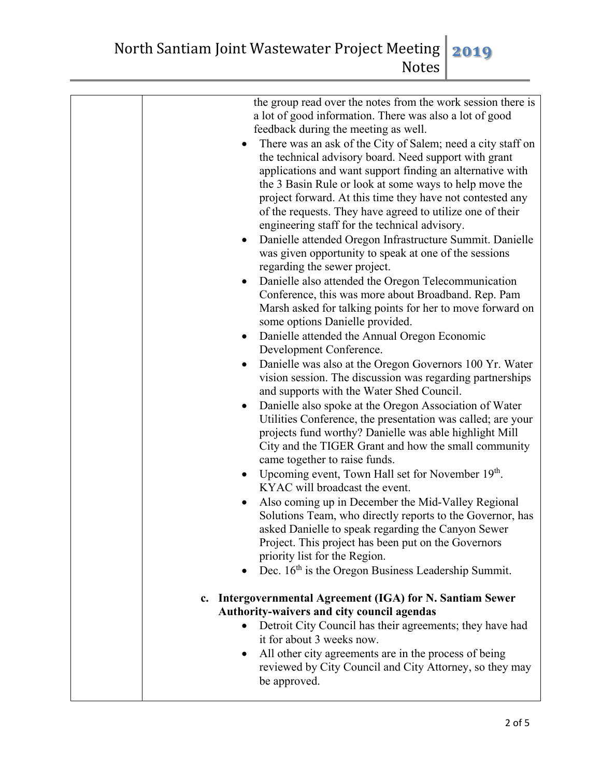| the group read over the notes from the work session there is<br>a lot of good information. There was also a lot of good<br>feedback during the meeting as well.<br>There was an ask of the City of Salem; need a city staff on<br>the technical advisory board. Need support with grant<br>applications and want support finding an alternative with<br>the 3 Basin Rule or look at some ways to help move the<br>project forward. At this time they have not contested any<br>of the requests. They have agreed to utilize one of their<br>engineering staff for the technical advisory.<br>Danielle attended Oregon Infrastructure Summit. Danielle<br>$\bullet$<br>was given opportunity to speak at one of the sessions<br>regarding the sewer project.<br>Danielle also attended the Oregon Telecommunication<br>Conference, this was more about Broadband. Rep. Pam<br>Marsh asked for talking points for her to move forward on<br>some options Danielle provided.<br>Danielle attended the Annual Oregon Economic<br>$\bullet$<br>Development Conference.<br>Danielle was also at the Oregon Governors 100 Yr. Water<br>vision session. The discussion was regarding partnerships<br>and supports with the Water Shed Council.<br>Danielle also spoke at the Oregon Association of Water<br>$\bullet$<br>Utilities Conference, the presentation was called; are your<br>projects fund worthy? Danielle was able highlight Mill<br>City and the TIGER Grant and how the small community<br>came together to raise funds.<br>Upcoming event, Town Hall set for November 19th.<br>$\bullet$<br>KYAC will broadcast the event.<br>Also coming up in December the Mid-Valley Regional<br>Solutions Team, who directly reports to the Governor, has<br>asked Danielle to speak regarding the Canyon Sewer<br>Project. This project has been put on the Governors<br>priority list for the Region.<br>Dec. $16th$ is the Oregon Business Leadership Summit.<br>c. Intergovernmental Agreement (IGA) for N. Santiam Sewer |
|---------------------------------------------------------------------------------------------------------------------------------------------------------------------------------------------------------------------------------------------------------------------------------------------------------------------------------------------------------------------------------------------------------------------------------------------------------------------------------------------------------------------------------------------------------------------------------------------------------------------------------------------------------------------------------------------------------------------------------------------------------------------------------------------------------------------------------------------------------------------------------------------------------------------------------------------------------------------------------------------------------------------------------------------------------------------------------------------------------------------------------------------------------------------------------------------------------------------------------------------------------------------------------------------------------------------------------------------------------------------------------------------------------------------------------------------------------------------------------------------------------------------------------------------------------------------------------------------------------------------------------------------------------------------------------------------------------------------------------------------------------------------------------------------------------------------------------------------------------------------------------------------------------------------------------------------------------------------------------------------------------------------------|
| Authority-waivers and city council agendas<br>Detroit City Council has their agreements; they have had<br>it for about 3 weeks now.<br>All other city agreements are in the process of being<br>٠<br>reviewed by City Council and City Attorney, so they may<br>be approved.                                                                                                                                                                                                                                                                                                                                                                                                                                                                                                                                                                                                                                                                                                                                                                                                                                                                                                                                                                                                                                                                                                                                                                                                                                                                                                                                                                                                                                                                                                                                                                                                                                                                                                                                              |